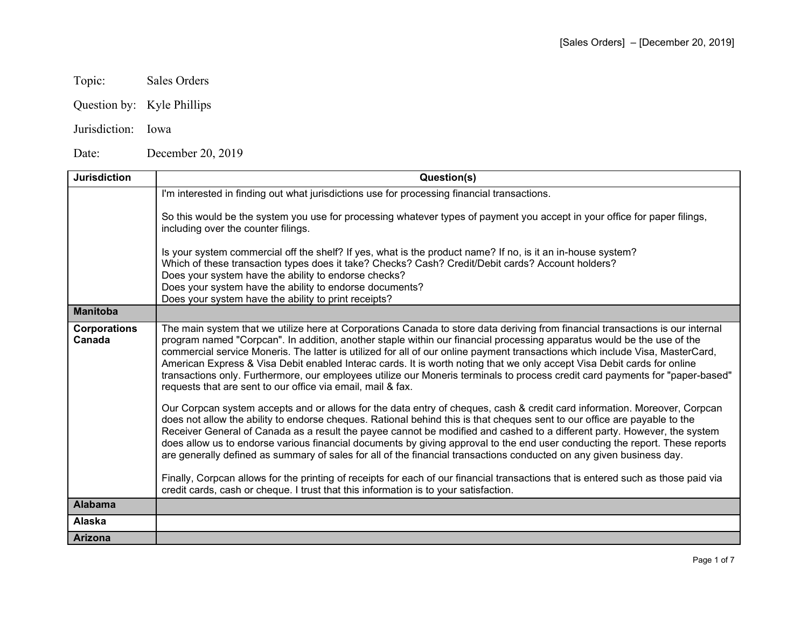- Topic: Sales Orders
- Question by: Kyle Phillips
- Jurisdiction: Iowa

Date: December 20, 2019

| <b>Jurisdiction</b>           | Question(s)                                                                                                                                                                                                                                                                                                                                                                                                                                                                                                                                                                                                                                                                                                                                                                                                                                                                                                                                                                                                                                                                                                                                                                                                                                                                                                                                                                                                                                                                                                                                                                                      |
|-------------------------------|--------------------------------------------------------------------------------------------------------------------------------------------------------------------------------------------------------------------------------------------------------------------------------------------------------------------------------------------------------------------------------------------------------------------------------------------------------------------------------------------------------------------------------------------------------------------------------------------------------------------------------------------------------------------------------------------------------------------------------------------------------------------------------------------------------------------------------------------------------------------------------------------------------------------------------------------------------------------------------------------------------------------------------------------------------------------------------------------------------------------------------------------------------------------------------------------------------------------------------------------------------------------------------------------------------------------------------------------------------------------------------------------------------------------------------------------------------------------------------------------------------------------------------------------------------------------------------------------------|
|                               | I'm interested in finding out what jurisdictions use for processing financial transactions.                                                                                                                                                                                                                                                                                                                                                                                                                                                                                                                                                                                                                                                                                                                                                                                                                                                                                                                                                                                                                                                                                                                                                                                                                                                                                                                                                                                                                                                                                                      |
|                               | So this would be the system you use for processing whatever types of payment you accept in your office for paper filings,<br>including over the counter filings.                                                                                                                                                                                                                                                                                                                                                                                                                                                                                                                                                                                                                                                                                                                                                                                                                                                                                                                                                                                                                                                                                                                                                                                                                                                                                                                                                                                                                                 |
|                               | Is your system commercial off the shelf? If yes, what is the product name? If no, is it an in-house system?<br>Which of these transaction types does it take? Checks? Cash? Credit/Debit cards? Account holders?<br>Does your system have the ability to endorse checks?                                                                                                                                                                                                                                                                                                                                                                                                                                                                                                                                                                                                                                                                                                                                                                                                                                                                                                                                                                                                                                                                                                                                                                                                                                                                                                                         |
|                               | Does your system have the ability to endorse documents?<br>Does your system have the ability to print receipts?                                                                                                                                                                                                                                                                                                                                                                                                                                                                                                                                                                                                                                                                                                                                                                                                                                                                                                                                                                                                                                                                                                                                                                                                                                                                                                                                                                                                                                                                                  |
| <b>Manitoba</b>               |                                                                                                                                                                                                                                                                                                                                                                                                                                                                                                                                                                                                                                                                                                                                                                                                                                                                                                                                                                                                                                                                                                                                                                                                                                                                                                                                                                                                                                                                                                                                                                                                  |
| <b>Corporations</b><br>Canada | The main system that we utilize here at Corporations Canada to store data deriving from financial transactions is our internal<br>program named "Corpcan". In addition, another staple within our financial processing apparatus would be the use of the<br>commercial service Moneris. The latter is utilized for all of our online payment transactions which include Visa, MasterCard,<br>American Express & Visa Debit enabled Interac cards. It is worth noting that we only accept Visa Debit cards for online<br>transactions only. Furthermore, our employees utilize our Moneris terminals to process credit card payments for "paper-based"<br>requests that are sent to our office via email, mail & fax.<br>Our Corpcan system accepts and or allows for the data entry of cheques, cash & credit card information. Moreover, Corpcan<br>does not allow the ability to endorse cheques. Rational behind this is that cheques sent to our office are payable to the<br>Receiver General of Canada as a result the payee cannot be modified and cashed to a different party. However, the system<br>does allow us to endorse various financial documents by giving approval to the end user conducting the report. These reports<br>are generally defined as summary of sales for all of the financial transactions conducted on any given business day.<br>Finally, Corpcan allows for the printing of receipts for each of our financial transactions that is entered such as those paid via<br>credit cards, cash or cheque. I trust that this information is to your satisfaction. |
| <b>Alabama</b>                |                                                                                                                                                                                                                                                                                                                                                                                                                                                                                                                                                                                                                                                                                                                                                                                                                                                                                                                                                                                                                                                                                                                                                                                                                                                                                                                                                                                                                                                                                                                                                                                                  |
| Alaska                        |                                                                                                                                                                                                                                                                                                                                                                                                                                                                                                                                                                                                                                                                                                                                                                                                                                                                                                                                                                                                                                                                                                                                                                                                                                                                                                                                                                                                                                                                                                                                                                                                  |
| <b>Arizona</b>                |                                                                                                                                                                                                                                                                                                                                                                                                                                                                                                                                                                                                                                                                                                                                                                                                                                                                                                                                                                                                                                                                                                                                                                                                                                                                                                                                                                                                                                                                                                                                                                                                  |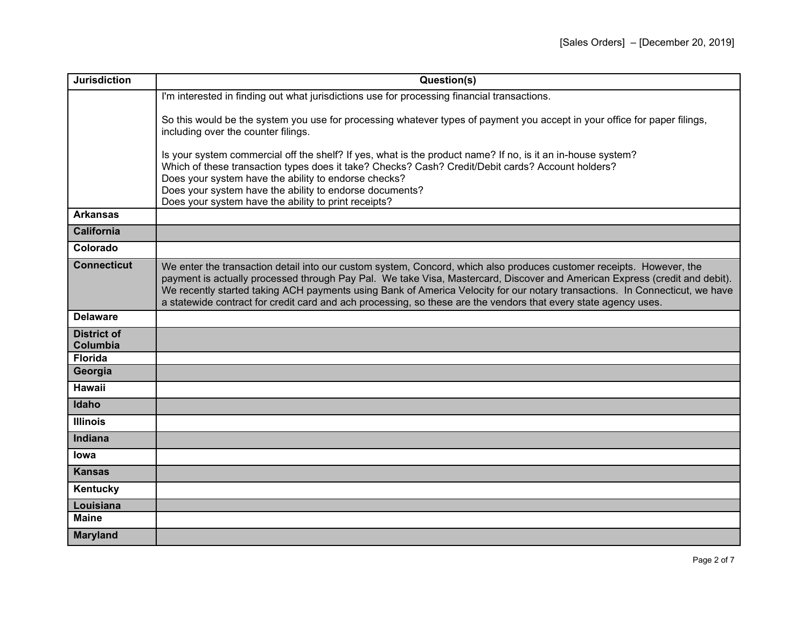| <b>Jurisdiction</b>                   | Question(s)                                                                                                                                                                                                                                                                                                                                                                                                                                                                                          |
|---------------------------------------|------------------------------------------------------------------------------------------------------------------------------------------------------------------------------------------------------------------------------------------------------------------------------------------------------------------------------------------------------------------------------------------------------------------------------------------------------------------------------------------------------|
|                                       | I'm interested in finding out what jurisdictions use for processing financial transactions.                                                                                                                                                                                                                                                                                                                                                                                                          |
|                                       | So this would be the system you use for processing whatever types of payment you accept in your office for paper filings,<br>including over the counter filings.                                                                                                                                                                                                                                                                                                                                     |
|                                       | Is your system commercial off the shelf? If yes, what is the product name? If no, is it an in-house system?<br>Which of these transaction types does it take? Checks? Cash? Credit/Debit cards? Account holders?<br>Does your system have the ability to endorse checks?<br>Does your system have the ability to endorse documents?<br>Does your system have the ability to print receipts?                                                                                                          |
| <b>Arkansas</b>                       |                                                                                                                                                                                                                                                                                                                                                                                                                                                                                                      |
| <b>California</b>                     |                                                                                                                                                                                                                                                                                                                                                                                                                                                                                                      |
| Colorado                              |                                                                                                                                                                                                                                                                                                                                                                                                                                                                                                      |
| <b>Connecticut</b>                    | We enter the transaction detail into our custom system, Concord, which also produces customer receipts. However, the<br>payment is actually processed through Pay Pal. We take Visa, Mastercard, Discover and American Express (credit and debit).<br>We recently started taking ACH payments using Bank of America Velocity for our notary transactions. In Connecticut, we have<br>a statewide contract for credit card and ach processing, so these are the vendors that every state agency uses. |
| <b>Delaware</b>                       |                                                                                                                                                                                                                                                                                                                                                                                                                                                                                                      |
| <b>District of</b><br><b>Columbia</b> |                                                                                                                                                                                                                                                                                                                                                                                                                                                                                                      |
| <b>Florida</b>                        |                                                                                                                                                                                                                                                                                                                                                                                                                                                                                                      |
| Georgia                               |                                                                                                                                                                                                                                                                                                                                                                                                                                                                                                      |
| <b>Hawaii</b>                         |                                                                                                                                                                                                                                                                                                                                                                                                                                                                                                      |
| Idaho                                 |                                                                                                                                                                                                                                                                                                                                                                                                                                                                                                      |
| <b>Illinois</b>                       |                                                                                                                                                                                                                                                                                                                                                                                                                                                                                                      |
| Indiana                               |                                                                                                                                                                                                                                                                                                                                                                                                                                                                                                      |
| lowa                                  |                                                                                                                                                                                                                                                                                                                                                                                                                                                                                                      |
| <b>Kansas</b>                         |                                                                                                                                                                                                                                                                                                                                                                                                                                                                                                      |
| Kentucky                              |                                                                                                                                                                                                                                                                                                                                                                                                                                                                                                      |
| Louisiana                             |                                                                                                                                                                                                                                                                                                                                                                                                                                                                                                      |
| <b>Maine</b>                          |                                                                                                                                                                                                                                                                                                                                                                                                                                                                                                      |
| <b>Maryland</b>                       |                                                                                                                                                                                                                                                                                                                                                                                                                                                                                                      |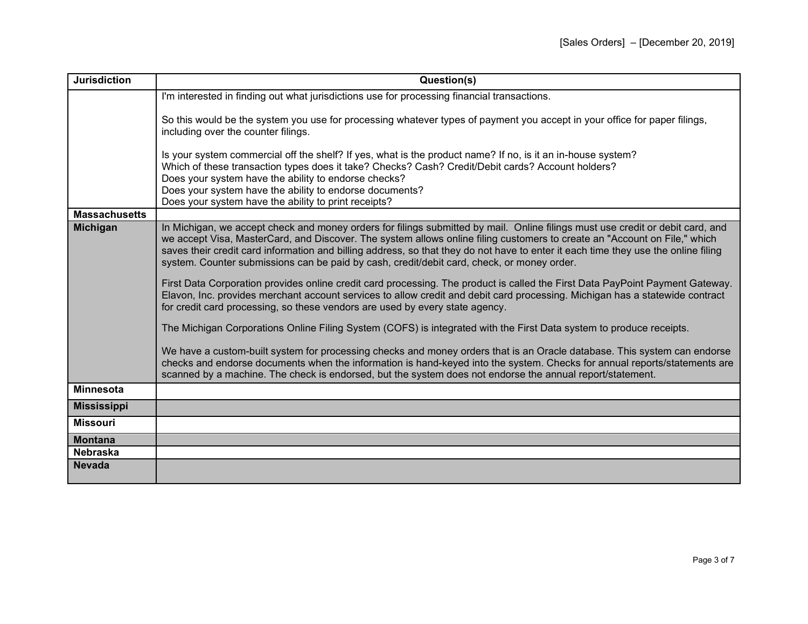| <b>Jurisdiction</b>  | Question(s)                                                                                                                                                                                                                                                                                                                                                                                                                                                                                                                                                                                                                                                                                                                                                                                                                                                                                                                                                                                                                                                                                                                                                                                                                                                                                                                                   |
|----------------------|-----------------------------------------------------------------------------------------------------------------------------------------------------------------------------------------------------------------------------------------------------------------------------------------------------------------------------------------------------------------------------------------------------------------------------------------------------------------------------------------------------------------------------------------------------------------------------------------------------------------------------------------------------------------------------------------------------------------------------------------------------------------------------------------------------------------------------------------------------------------------------------------------------------------------------------------------------------------------------------------------------------------------------------------------------------------------------------------------------------------------------------------------------------------------------------------------------------------------------------------------------------------------------------------------------------------------------------------------|
|                      | I'm interested in finding out what jurisdictions use for processing financial transactions.                                                                                                                                                                                                                                                                                                                                                                                                                                                                                                                                                                                                                                                                                                                                                                                                                                                                                                                                                                                                                                                                                                                                                                                                                                                   |
|                      | So this would be the system you use for processing whatever types of payment you accept in your office for paper filings,<br>including over the counter filings.                                                                                                                                                                                                                                                                                                                                                                                                                                                                                                                                                                                                                                                                                                                                                                                                                                                                                                                                                                                                                                                                                                                                                                              |
|                      | Is your system commercial off the shelf? If yes, what is the product name? If no, is it an in-house system?<br>Which of these transaction types does it take? Checks? Cash? Credit/Debit cards? Account holders?<br>Does your system have the ability to endorse checks?<br>Does your system have the ability to endorse documents?<br>Does your system have the ability to print receipts?                                                                                                                                                                                                                                                                                                                                                                                                                                                                                                                                                                                                                                                                                                                                                                                                                                                                                                                                                   |
| <b>Massachusetts</b> |                                                                                                                                                                                                                                                                                                                                                                                                                                                                                                                                                                                                                                                                                                                                                                                                                                                                                                                                                                                                                                                                                                                                                                                                                                                                                                                                               |
| <b>Michigan</b>      | In Michigan, we accept check and money orders for filings submitted by mail. Online filings must use credit or debit card, and<br>we accept Visa, MasterCard, and Discover. The system allows online filing customers to create an "Account on File," which<br>saves their credit card information and billing address, so that they do not have to enter it each time they use the online filing<br>system. Counter submissions can be paid by cash, credit/debit card, check, or money order.<br>First Data Corporation provides online credit card processing. The product is called the First Data PayPoint Payment Gateway.<br>Elavon, Inc. provides merchant account services to allow credit and debit card processing. Michigan has a statewide contract<br>for credit card processing, so these vendors are used by every state agency.<br>The Michigan Corporations Online Filing System (COFS) is integrated with the First Data system to produce receipts.<br>We have a custom-built system for processing checks and money orders that is an Oracle database. This system can endorse<br>checks and endorse documents when the information is hand-keyed into the system. Checks for annual reports/statements are<br>scanned by a machine. The check is endorsed, but the system does not endorse the annual report/statement. |
| <b>Minnesota</b>     |                                                                                                                                                                                                                                                                                                                                                                                                                                                                                                                                                                                                                                                                                                                                                                                                                                                                                                                                                                                                                                                                                                                                                                                                                                                                                                                                               |
| <b>Mississippi</b>   |                                                                                                                                                                                                                                                                                                                                                                                                                                                                                                                                                                                                                                                                                                                                                                                                                                                                                                                                                                                                                                                                                                                                                                                                                                                                                                                                               |
| <b>Missouri</b>      |                                                                                                                                                                                                                                                                                                                                                                                                                                                                                                                                                                                                                                                                                                                                                                                                                                                                                                                                                                                                                                                                                                                                                                                                                                                                                                                                               |
| <b>Montana</b>       |                                                                                                                                                                                                                                                                                                                                                                                                                                                                                                                                                                                                                                                                                                                                                                                                                                                                                                                                                                                                                                                                                                                                                                                                                                                                                                                                               |
| <b>Nebraska</b>      |                                                                                                                                                                                                                                                                                                                                                                                                                                                                                                                                                                                                                                                                                                                                                                                                                                                                                                                                                                                                                                                                                                                                                                                                                                                                                                                                               |
| <b>Nevada</b>        |                                                                                                                                                                                                                                                                                                                                                                                                                                                                                                                                                                                                                                                                                                                                                                                                                                                                                                                                                                                                                                                                                                                                                                                                                                                                                                                                               |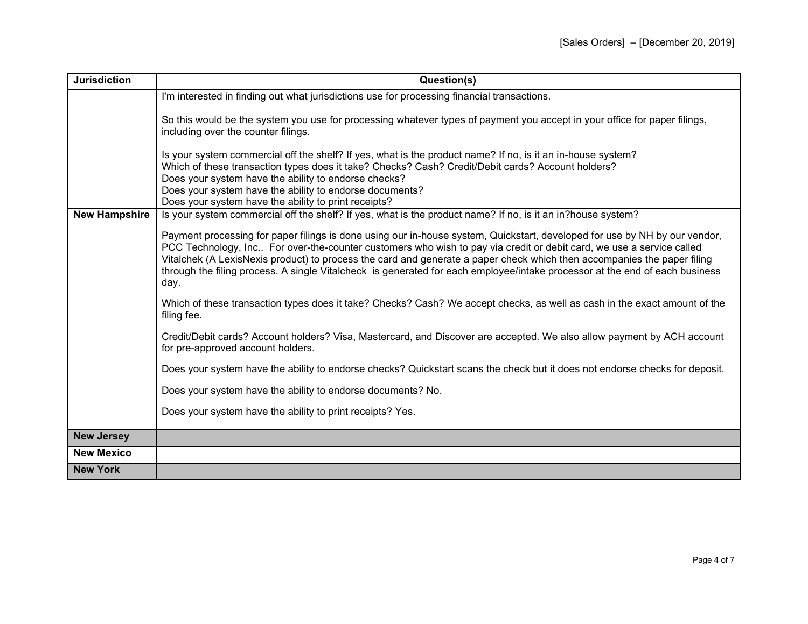| <b>Jurisdiction</b>  | Question(s)                                                                                                                                                                                                                                                                                                                                                                                                                                                                                                          |
|----------------------|----------------------------------------------------------------------------------------------------------------------------------------------------------------------------------------------------------------------------------------------------------------------------------------------------------------------------------------------------------------------------------------------------------------------------------------------------------------------------------------------------------------------|
|                      | I'm interested in finding out what jurisdictions use for processing financial transactions.                                                                                                                                                                                                                                                                                                                                                                                                                          |
|                      | So this would be the system you use for processing whatever types of payment you accept in your office for paper filings,<br>including over the counter filings.                                                                                                                                                                                                                                                                                                                                                     |
|                      | Is your system commercial off the shelf? If yes, what is the product name? If no, is it an in-house system?<br>Which of these transaction types does it take? Checks? Cash? Credit/Debit cards? Account holders?<br>Does your system have the ability to endorse checks?                                                                                                                                                                                                                                             |
|                      | Does your system have the ability to endorse documents?                                                                                                                                                                                                                                                                                                                                                                                                                                                              |
| <b>New Hampshire</b> | Does your system have the ability to print receipts?<br>Is your system commercial off the shelf? If yes, what is the product name? If no, is it an in?house system?                                                                                                                                                                                                                                                                                                                                                  |
|                      | Payment processing for paper filings is done using our in-house system, Quickstart, developed for use by NH by our vendor,<br>PCC Technology, Inc For over-the-counter customers who wish to pay via credit or debit card, we use a service called<br>Vitalchek (A LexisNexis product) to process the card and generate a paper check which then accompanies the paper filing<br>through the filing process. A single Vitalcheck is generated for each employee/intake processor at the end of each business<br>day. |
|                      | Which of these transaction types does it take? Checks? Cash? We accept checks, as well as cash in the exact amount of the<br>filing fee.                                                                                                                                                                                                                                                                                                                                                                             |
|                      | Credit/Debit cards? Account holders? Visa, Mastercard, and Discover are accepted. We also allow payment by ACH account<br>for pre-approved account holders.                                                                                                                                                                                                                                                                                                                                                          |
|                      | Does your system have the ability to endorse checks? Quickstart scans the check but it does not endorse checks for deposit.                                                                                                                                                                                                                                                                                                                                                                                          |
|                      | Does your system have the ability to endorse documents? No.                                                                                                                                                                                                                                                                                                                                                                                                                                                          |
|                      | Does your system have the ability to print receipts? Yes.                                                                                                                                                                                                                                                                                                                                                                                                                                                            |
| <b>New Jersey</b>    |                                                                                                                                                                                                                                                                                                                                                                                                                                                                                                                      |
| <b>New Mexico</b>    |                                                                                                                                                                                                                                                                                                                                                                                                                                                                                                                      |
| <b>New York</b>      |                                                                                                                                                                                                                                                                                                                                                                                                                                                                                                                      |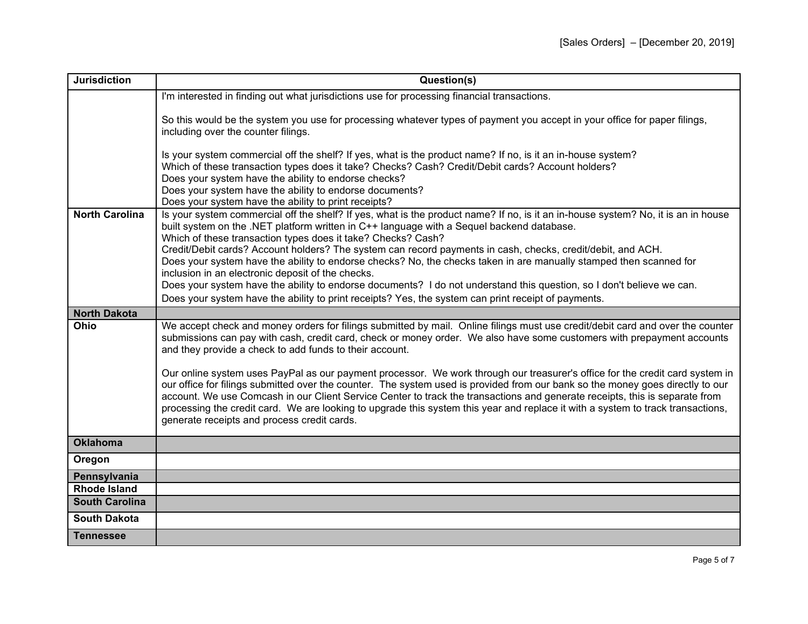| <b>Jurisdiction</b>   | Question(s)                                                                                                                                                                                                                                                                                                                                                                                                                                                                                                                                                                                                                                                                                                                                                                                                                                                                                            |
|-----------------------|--------------------------------------------------------------------------------------------------------------------------------------------------------------------------------------------------------------------------------------------------------------------------------------------------------------------------------------------------------------------------------------------------------------------------------------------------------------------------------------------------------------------------------------------------------------------------------------------------------------------------------------------------------------------------------------------------------------------------------------------------------------------------------------------------------------------------------------------------------------------------------------------------------|
|                       | I'm interested in finding out what jurisdictions use for processing financial transactions.                                                                                                                                                                                                                                                                                                                                                                                                                                                                                                                                                                                                                                                                                                                                                                                                            |
|                       | So this would be the system you use for processing whatever types of payment you accept in your office for paper filings,<br>including over the counter filings.                                                                                                                                                                                                                                                                                                                                                                                                                                                                                                                                                                                                                                                                                                                                       |
|                       | Is your system commercial off the shelf? If yes, what is the product name? If no, is it an in-house system?<br>Which of these transaction types does it take? Checks? Cash? Credit/Debit cards? Account holders?<br>Does your system have the ability to endorse checks?<br>Does your system have the ability to endorse documents?<br>Does your system have the ability to print receipts?                                                                                                                                                                                                                                                                                                                                                                                                                                                                                                            |
| <b>North Carolina</b> | Is your system commercial off the shelf? If yes, what is the product name? If no, is it an in-house system? No, it is an in house<br>built system on the .NET platform written in C++ language with a Sequel backend database.<br>Which of these transaction types does it take? Checks? Cash?<br>Credit/Debit cards? Account holders? The system can record payments in cash, checks, credit/debit, and ACH.<br>Does your system have the ability to endorse checks? No, the checks taken in are manually stamped then scanned for<br>inclusion in an electronic deposit of the checks.                                                                                                                                                                                                                                                                                                               |
|                       | Does your system have the ability to endorse documents? I do not understand this question, so I don't believe we can.                                                                                                                                                                                                                                                                                                                                                                                                                                                                                                                                                                                                                                                                                                                                                                                  |
|                       | Does your system have the ability to print receipts? Yes, the system can print receipt of payments.                                                                                                                                                                                                                                                                                                                                                                                                                                                                                                                                                                                                                                                                                                                                                                                                    |
| <b>North Dakota</b>   |                                                                                                                                                                                                                                                                                                                                                                                                                                                                                                                                                                                                                                                                                                                                                                                                                                                                                                        |
| Ohio                  | We accept check and money orders for filings submitted by mail. Online filings must use credit/debit card and over the counter<br>submissions can pay with cash, credit card, check or money order. We also have some customers with prepayment accounts<br>and they provide a check to add funds to their account.<br>Our online system uses PayPal as our payment processor. We work through our treasurer's office for the credit card system in<br>our office for filings submitted over the counter. The system used is provided from our bank so the money goes directly to our<br>account. We use Comcash in our Client Service Center to track the transactions and generate receipts, this is separate from<br>processing the credit card. We are looking to upgrade this system this year and replace it with a system to track transactions,<br>generate receipts and process credit cards. |
| <b>Oklahoma</b>       |                                                                                                                                                                                                                                                                                                                                                                                                                                                                                                                                                                                                                                                                                                                                                                                                                                                                                                        |
| Oregon                |                                                                                                                                                                                                                                                                                                                                                                                                                                                                                                                                                                                                                                                                                                                                                                                                                                                                                                        |
| Pennsylvania          |                                                                                                                                                                                                                                                                                                                                                                                                                                                                                                                                                                                                                                                                                                                                                                                                                                                                                                        |
| <b>Rhode Island</b>   |                                                                                                                                                                                                                                                                                                                                                                                                                                                                                                                                                                                                                                                                                                                                                                                                                                                                                                        |
| <b>South Carolina</b> |                                                                                                                                                                                                                                                                                                                                                                                                                                                                                                                                                                                                                                                                                                                                                                                                                                                                                                        |
| <b>South Dakota</b>   |                                                                                                                                                                                                                                                                                                                                                                                                                                                                                                                                                                                                                                                                                                                                                                                                                                                                                                        |
| <b>Tennessee</b>      |                                                                                                                                                                                                                                                                                                                                                                                                                                                                                                                                                                                                                                                                                                                                                                                                                                                                                                        |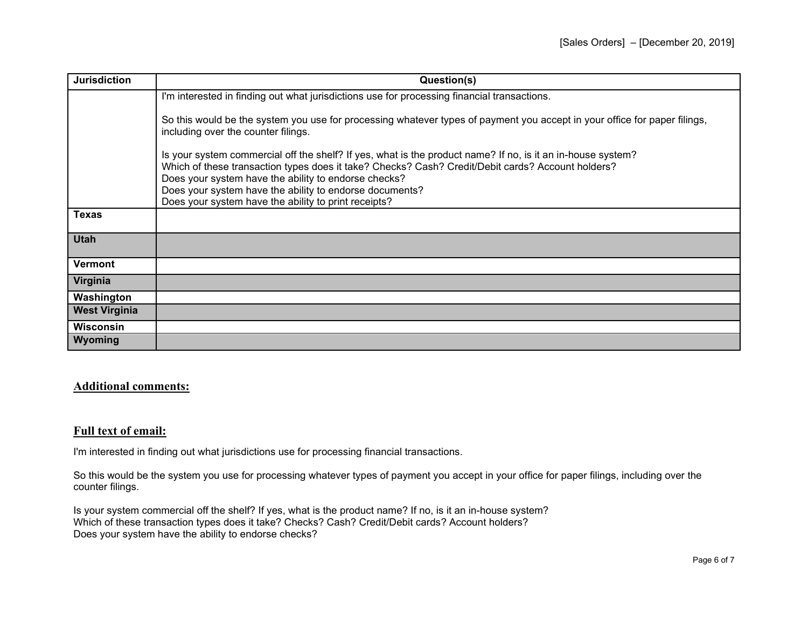| <b>Jurisdiction</b>  | Question(s)                                                                                                                                                                                                                                                              |
|----------------------|--------------------------------------------------------------------------------------------------------------------------------------------------------------------------------------------------------------------------------------------------------------------------|
|                      | I'm interested in finding out what jurisdictions use for processing financial transactions.                                                                                                                                                                              |
|                      | So this would be the system you use for processing whatever types of payment you accept in your office for paper filings,<br>including over the counter filings.                                                                                                         |
|                      | Is your system commercial off the shelf? If yes, what is the product name? If no, is it an in-house system?<br>Which of these transaction types does it take? Checks? Cash? Credit/Debit cards? Account holders?<br>Does your system have the ability to endorse checks? |
|                      | Does your system have the ability to endorse documents?                                                                                                                                                                                                                  |
|                      | Does your system have the ability to print receipts?                                                                                                                                                                                                                     |
| <b>Texas</b>         |                                                                                                                                                                                                                                                                          |
| <b>Utah</b>          |                                                                                                                                                                                                                                                                          |
| <b>Vermont</b>       |                                                                                                                                                                                                                                                                          |
| Virginia             |                                                                                                                                                                                                                                                                          |
| Washington           |                                                                                                                                                                                                                                                                          |
| <b>West Virginia</b> |                                                                                                                                                                                                                                                                          |
| <b>Wisconsin</b>     |                                                                                                                                                                                                                                                                          |
| Wyoming              |                                                                                                                                                                                                                                                                          |

## **Additional comments:**

## **Full text of email:**

I'm interested in finding out what jurisdictions use for processing financial transactions.

So this would be the system you use for processing whatever types of payment you accept in your office for paper filings, including over the counter filings.

Is your system commercial off the shelf? If yes, what is the product name? If no, is it an in-house system? Which of these transaction types does it take? Checks? Cash? Credit/Debit cards? Account holders? Does your system have the ability to endorse checks?